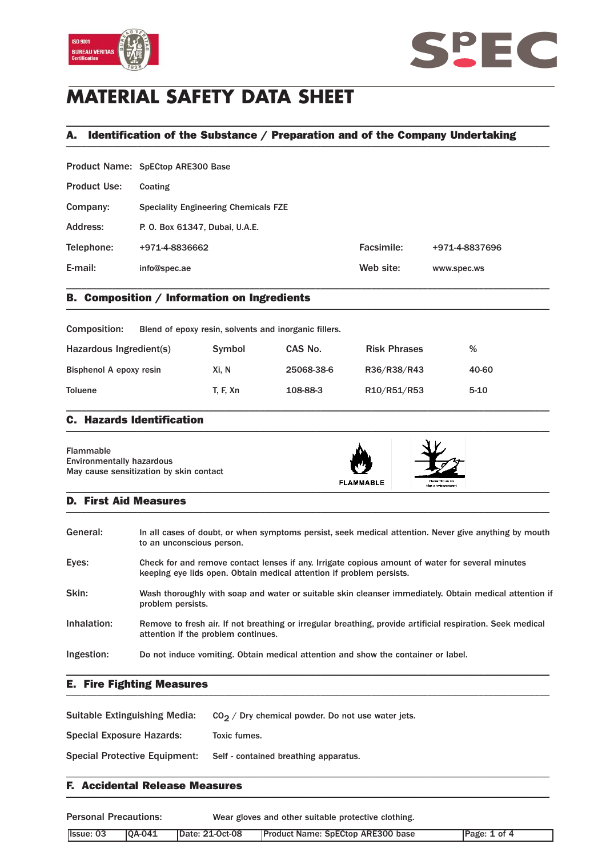



# **MATERIAL SAFETY DATA SHEET**

## A. Identification of the Substance / Preparation and of the Company Undertaking \_\_\_\_\_\_\_\_\_\_\_\_\_\_\_\_\_\_\_\_\_\_\_\_\_\_\_\_\_\_\_\_\_\_\_\_\_\_\_\_\_\_\_\_\_\_\_\_\_\_\_\_\_\_\_\_\_\_\_\_\_\_\_\_\_\_\_\_\_\_\_\_\_\_\_\_\_\_\_\_\_\_\_\_\_\_\_\_\_\_\_\_\_\_\_

\_\_\_\_\_\_\_\_\_\_\_\_\_\_\_\_\_\_\_\_\_\_\_\_\_\_\_\_\_\_\_\_\_\_\_\_\_\_\_\_\_\_\_\_\_\_\_\_\_\_\_\_\_\_\_\_\_\_\_\_\_\_\_\_\_\_\_\_\_\_\_\_\_\_\_\_\_\_\_\_\_\_\_\_\_\_\_\_\_\_\_\_\_\_\_

|                     | Product Name: SpECtop ARE300 Base           |            |                |
|---------------------|---------------------------------------------|------------|----------------|
| <b>Product Use:</b> | Coating                                     |            |                |
| Company:            | <b>Speciality Engineering Chemicals FZE</b> |            |                |
| Address:            | P. O. Box 61347, Dubai, U.A.E.              |            |                |
| Telephone:          | +971-4-8836662                              | Facsimile: | +971-4-8837696 |
| E-mail:             | info@spec.ae                                | Web site:  | www.spec.ws    |
|                     |                                             |            |                |

## B. Composition / Information on Ingredients \_\_\_\_\_\_\_\_\_\_\_\_\_\_\_\_\_\_\_\_\_\_\_\_\_\_\_\_\_\_\_\_\_\_\_\_\_\_\_\_\_\_\_\_\_\_\_\_\_\_\_\_\_\_\_\_\_\_\_\_\_\_\_\_\_\_\_\_\_\_\_\_\_\_\_\_\_\_\_\_\_\_\_\_\_\_\_\_\_\_\_\_\_\_\_

| Composition:            | Blend of epoxy resin, solvents and inorganic fillers. |            |                     |          |  |
|-------------------------|-------------------------------------------------------|------------|---------------------|----------|--|
| Hazardous Ingredient(s) | Symbol                                                | CAS No.    | <b>Risk Phrases</b> | %        |  |
| Bisphenol A epoxy resin | Xi. N                                                 | 25068-38-6 | R36/R38/R43         | 40-60    |  |
| <b>Toluene</b>          | <b>T. F. Xn</b>                                       | 108-88-3   | R10/R51/R53         | $5 - 10$ |  |

### C. Hazards Identification  $\blacksquare$

| Flammable<br><b>Environmentally hazardous</b><br>May cause sensitization by skin contact | <b>FLAMMABLE</b> | Hazardous to<br>the environment |  |
|------------------------------------------------------------------------------------------|------------------|---------------------------------|--|
|------------------------------------------------------------------------------------------|------------------|---------------------------------|--|

### D. First Aid Measures  $\blacksquare$

| General:    | In all cases of doubt, or when symptoms persist, seek medical attention. Never give anything by mouth<br>to an unconscious person.                                       |
|-------------|--------------------------------------------------------------------------------------------------------------------------------------------------------------------------|
| Eyes:       | Check for and remove contact lenses if any. Irrigate copious amount of water for several minutes<br>keeping eye lids open. Obtain medical attention if problem persists. |
| Skin:       | Wash thoroughly with soap and water or suitable skin cleanser immediately. Obtain medical attention if<br>problem persists.                                              |
| Inhalation: | Remove to fresh air. If not breathing or irregular breathing, provide artificial respiration. Seek medical<br>attention if the problem continues.                        |
| Ingestion:  | Do not induce vomiting. Obtain medical attention and show the container or label.                                                                                        |

### E. Fire Fighting Measures \_\_\_\_\_\_\_\_\_\_\_\_\_\_\_\_\_\_\_\_\_\_\_\_\_\_\_\_\_\_\_\_\_\_\_\_\_\_\_\_\_\_\_\_\_\_\_\_\_\_\_\_\_\_\_\_\_\_\_\_\_\_\_\_\_\_\_\_\_\_\_\_\_\_\_\_\_\_\_\_\_\_\_\_\_\_\_\_\_\_\_\_\_\_\_

| Suitable Extinguishing Media:        | $CO2$ / Dry chemical powder. Do not use water jets. |
|--------------------------------------|-----------------------------------------------------|
| Special Exposure Hazards:            | Toxic fumes.                                        |
| <b>Special Protective Equipment:</b> | Self - contained breathing apparatus.               |
|                                      |                                                     |

### F. Accidental Release Measures  $\blacksquare$

| <b>Personal Precautions:</b> |               | Wear gloves and other suitable protective clothing. |                                          |              |
|------------------------------|---------------|-----------------------------------------------------|------------------------------------------|--------------|
| Ilssue: 03                   | <b>0A-041</b> | Date: 21-Oct-08                                     | <b>Product Name: SpECtop ARE300 base</b> | Page: 1 of 4 |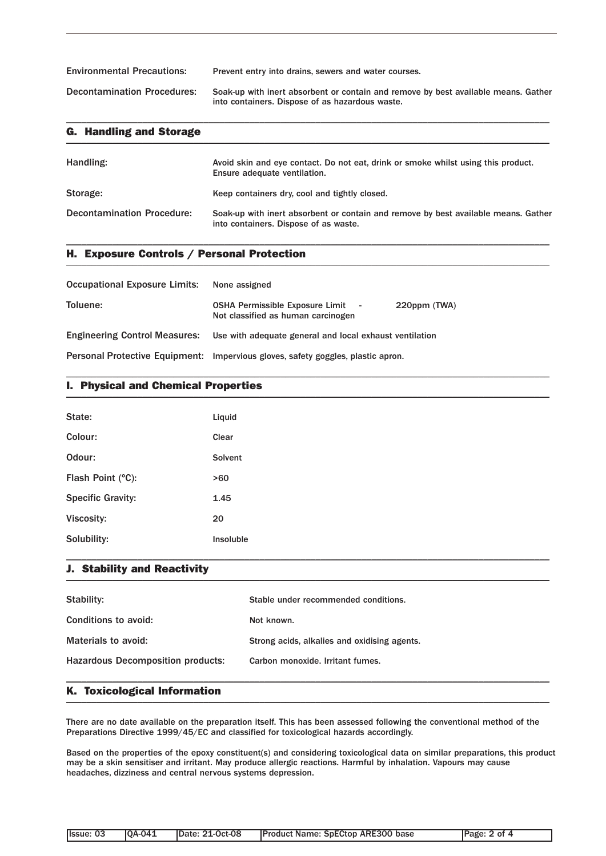| <b>Environmental Precautions:</b>  | Prevent entry into drains, sewers and water courses.                                                                                  |
|------------------------------------|---------------------------------------------------------------------------------------------------------------------------------------|
| <b>Decontamination Procedures:</b> | Soak-up with inert absorbent or contain and remove by best available means. Gather<br>into containers. Dispose of as hazardous waste. |

\_\_\_\_\_\_\_\_\_\_\_\_\_\_\_\_\_\_\_\_\_\_\_\_\_\_\_\_\_\_\_\_\_\_\_\_\_\_\_\_\_\_\_\_\_\_\_\_\_\_\_\_\_\_\_\_\_\_\_\_\_\_\_\_\_\_\_\_\_\_\_\_\_\_\_\_\_\_\_\_\_\_\_\_\_\_\_\_\_\_\_\_\_\_\_

| <b>G. Handling and Storage</b>    |                                                                                                                             |
|-----------------------------------|-----------------------------------------------------------------------------------------------------------------------------|
| Handling:                         | Avoid skin and eye contact. Do not eat, drink or smoke whilst using this product.<br>Ensure adequate ventilation.           |
| Storage:                          | Keep containers dry, cool and tightly closed.                                                                               |
| <b>Decontamination Procedure:</b> | Soak-up with inert absorbent or contain and remove by best available means. Gather<br>into containers. Dispose of as waste. |

\_\_\_\_\_\_\_\_\_\_\_\_\_\_\_\_\_\_\_\_\_\_\_\_\_\_\_\_\_\_\_\_\_\_\_\_\_\_\_\_\_\_\_\_\_\_\_\_\_\_\_\_\_\_\_\_\_\_\_\_\_\_\_\_\_\_\_\_\_\_\_\_\_\_\_\_\_\_\_\_\_\_\_\_\_\_\_\_\_\_\_\_\_\_\_

## H. Exposure Controls / Personal Protection \_\_\_\_\_\_\_\_\_\_\_\_\_\_\_\_\_\_\_\_\_\_\_\_\_\_\_\_\_\_\_\_\_\_\_\_\_\_\_\_\_\_\_\_\_\_\_\_\_\_\_\_\_\_\_\_\_\_\_\_\_\_\_\_\_\_\_\_\_\_\_\_\_\_\_\_\_\_\_\_\_\_\_\_\_\_\_\_\_\_\_\_\_\_\_

| <b>Occupational Exposure Limits:</b> | None assigned                                                                                  |
|--------------------------------------|------------------------------------------------------------------------------------------------|
| <b>Toluene:</b>                      | <b>OSHA Permissible Exposure Limit</b> -<br>220ppm (TWA)<br>Not classified as human carcinogen |
|                                      | Engineering Control Measures: Use with adequate general and local exhaust ventilation          |
|                                      | Personal Protective Equipment: Impervious gloves, safety goggles, plastic apron.               |

## I. Physical and Chemical Properties \_\_\_\_\_\_\_\_\_\_\_\_\_\_\_\_\_\_\_\_\_\_\_\_\_\_\_\_\_\_\_\_\_\_\_\_\_\_\_\_\_\_\_\_\_\_\_\_\_\_\_\_\_\_\_\_\_\_\_\_\_\_\_\_\_\_\_\_\_\_\_\_\_\_\_\_\_\_\_\_\_\_\_\_\_\_\_\_\_\_\_\_\_\_\_

| State:                   | Liquid    |
|--------------------------|-----------|
| Colour:                  | Clear     |
| Odour:                   | Solvent   |
| Flash Point (°C):        | >60       |
| <b>Specific Gravity:</b> | 1.45      |
| Viscosity:               | 20        |
| Solubility:              | Insoluble |

\_\_\_\_\_\_\_\_\_\_\_\_\_\_\_\_\_\_\_\_\_\_\_\_\_\_\_\_\_\_\_\_\_\_\_\_\_\_\_\_\_\_\_\_\_\_\_\_\_\_\_\_\_\_\_\_\_\_\_\_\_\_\_\_\_\_\_\_\_\_\_\_\_\_\_\_\_\_\_\_\_\_\_\_\_\_\_\_\_\_\_\_\_\_\_

## J. Stability and Reactivity \_\_\_\_\_\_\_\_\_\_\_\_\_\_\_\_\_\_\_\_\_\_\_\_\_\_\_\_\_\_\_\_\_\_\_\_\_\_\_\_\_\_\_\_\_\_\_\_\_\_\_\_\_\_\_\_\_\_\_\_\_\_\_\_\_\_\_\_\_\_\_\_\_\_\_\_\_\_\_\_\_\_\_\_\_\_\_\_\_\_\_\_\_\_\_

| Stability:                               | Stable under recommended conditions.         |
|------------------------------------------|----------------------------------------------|
| Conditions to avoid:                     | Not known.                                   |
| Materials to avoid:                      | Strong acids, alkalies and oxidising agents. |
| <b>Hazardous Decomposition products:</b> | Carbon monoxide, Irritant fumes.             |
|                                          |                                              |

\_\_\_\_\_\_\_\_\_\_\_\_\_\_\_\_\_\_\_\_\_\_\_\_\_\_\_\_\_\_\_\_\_\_\_\_\_\_\_\_\_\_\_\_\_\_\_\_\_\_\_\_\_\_\_\_\_\_\_\_\_\_\_\_\_\_\_\_\_\_\_\_\_\_\_\_\_\_\_\_\_\_\_\_\_\_\_\_\_\_\_\_\_\_\_

### K. Toxicological Information \_\_\_\_\_\_\_\_\_\_\_\_\_\_\_\_\_\_\_\_\_\_\_\_\_\_\_\_\_\_\_\_\_\_\_\_\_\_\_\_\_\_\_\_\_\_\_\_\_\_\_\_\_\_\_\_\_\_\_\_\_\_\_\_\_\_\_\_\_\_\_\_\_\_\_\_\_\_\_\_\_\_\_\_\_\_\_\_\_\_\_\_\_\_\_

There are no date available on the preparation itself. This has been assessed following the conventional method of the Preparations Directive 1999/45/EC and classified for toxicological hazards accordingly.

Based on the properties of the epoxy constituent(s) and considering toxicological data on similar preparations, this product may be a skin sensitiser and irritant. May produce allergic reactions. Harmful by inhalation. Vapours may cause headaches, dizziness and central nervous systems depression.

| Issue: 03 | <b>IOA-041</b> | <b>IDate: 21-Oct-08</b> | <b>Product Name: SpECtop ARE300 base</b> | Page: 2 of 4 |
|-----------|----------------|-------------------------|------------------------------------------|--------------|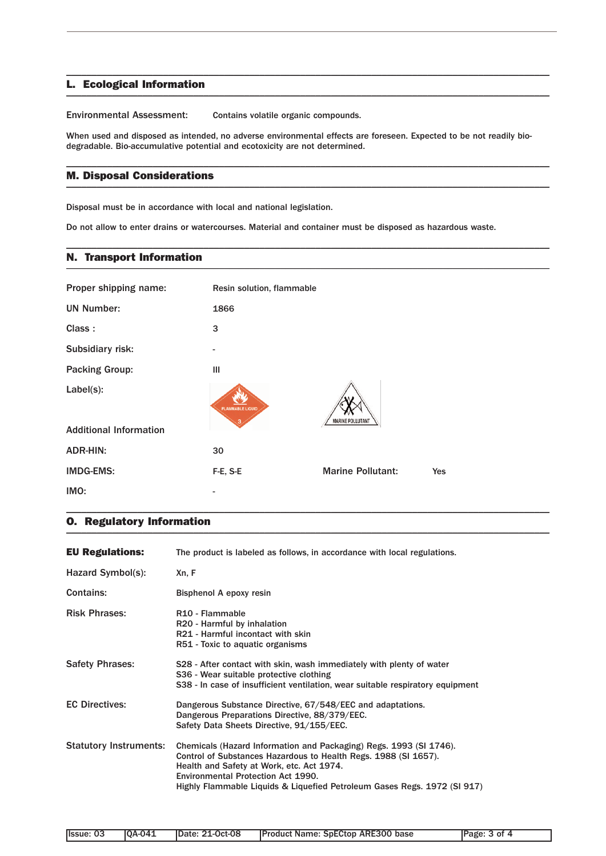### L. Ecological Information \_\_\_\_\_\_\_\_\_\_\_\_\_\_\_\_\_\_\_\_\_\_\_\_\_\_\_\_\_\_\_\_\_\_\_\_\_\_\_\_\_\_\_\_\_\_\_\_\_\_\_\_\_\_\_\_\_\_\_\_\_\_\_\_\_\_\_\_\_\_\_\_\_\_\_\_\_\_\_\_\_\_\_\_\_\_\_\_\_\_\_\_\_\_\_

Environmental Assessment: Contains volatile organic compounds.

When used and disposed as intended, no adverse environmental effects are foreseen. Expected to be not readily biodegradable. Bio-accumulative potential and ecotoxicity are not determined.

\_\_\_\_\_\_\_\_\_\_\_\_\_\_\_\_\_\_\_\_\_\_\_\_\_\_\_\_\_\_\_\_\_\_\_\_\_\_\_\_\_\_\_\_\_\_\_\_\_\_\_\_\_\_\_\_\_\_\_\_\_\_\_\_\_\_\_\_\_\_\_\_\_\_\_\_\_\_\_\_\_\_\_\_\_\_\_\_\_\_\_\_\_\_\_

\_\_\_\_\_\_\_\_\_\_\_\_\_\_\_\_\_\_\_\_\_\_\_\_\_\_\_\_\_\_\_\_\_\_\_\_\_\_\_\_\_\_\_\_\_\_\_\_\_\_\_\_\_\_\_\_\_\_\_\_\_\_\_\_\_\_\_\_\_\_\_\_\_\_\_\_\_\_\_\_\_\_\_\_\_\_\_\_\_\_\_\_\_\_\_

\_\_\_\_\_\_\_\_\_\_\_\_\_\_\_\_\_\_\_\_\_\_\_\_\_\_\_\_\_\_\_\_\_\_\_\_\_\_\_\_\_\_\_\_\_\_\_\_\_\_\_\_\_\_\_\_\_\_\_\_\_\_\_\_\_\_\_\_\_\_\_\_\_\_\_\_\_\_\_\_\_\_\_\_\_\_\_\_\_\_\_\_\_\_\_

## M. Disposal Considerations \_\_\_\_\_\_\_\_\_\_\_\_\_\_\_\_\_\_\_\_\_\_\_\_\_\_\_\_\_\_\_\_\_\_\_\_\_\_\_\_\_\_\_\_\_\_\_\_\_\_\_\_\_\_\_\_\_\_\_\_\_\_\_\_\_\_\_\_\_\_\_\_\_\_\_\_\_\_\_\_\_\_\_\_\_\_\_\_\_\_\_\_\_\_\_

Disposal must be in accordance with local and national legislation.

Do not allow to enter drains or watercourses. Material and container must be disposed as hazardous waste.

#### N. Transport Information \_\_\_\_\_\_\_\_\_\_\_\_\_\_\_\_\_\_\_\_\_\_\_\_\_\_\_\_\_\_\_\_\_\_\_\_\_\_\_\_\_\_\_\_\_\_\_\_\_\_\_\_\_\_\_\_\_\_\_\_\_\_\_\_\_\_\_\_\_\_\_\_\_\_\_\_\_\_\_\_\_\_\_\_\_\_\_\_\_\_\_\_\_\_\_

| Proper shipping name:         | Resin solution, flammable |                          |     |
|-------------------------------|---------------------------|--------------------------|-----|
| <b>UN Number:</b>             | 1866                      |                          |     |
| Class:                        | 3                         |                          |     |
| Subsidiary risk:              |                           |                          |     |
| <b>Packing Group:</b>         | Ш                         |                          |     |
| Label(s):                     | <b>FLAMMABLE LIQUID</b>   | <b>MARINE POLLUTANT</b>  |     |
| <b>Additional Information</b> |                           |                          |     |
| <b>ADR-HIN:</b>               | 30                        |                          |     |
| <b>IMDG-EMS:</b>              | F-E, S-E                  | <b>Marine Pollutant:</b> | Yes |
| IMO:                          |                           |                          |     |

## O. Regulatory Information \_\_\_\_\_\_\_\_\_\_\_\_\_\_\_\_\_\_\_\_\_\_\_\_\_\_\_\_\_\_\_\_\_\_\_\_\_\_\_\_\_\_\_\_\_\_\_\_\_\_\_\_\_\_\_\_\_\_\_\_\_\_\_\_\_\_\_\_\_\_\_\_\_\_\_\_\_\_\_\_\_\_\_\_\_\_\_\_\_\_\_\_\_\_\_

| The product is labeled as follows, in accordance with local regulations.<br>Xn, F<br>Bisphenol A epoxy resin                                                                                                                                                                                         |
|------------------------------------------------------------------------------------------------------------------------------------------------------------------------------------------------------------------------------------------------------------------------------------------------------|
|                                                                                                                                                                                                                                                                                                      |
|                                                                                                                                                                                                                                                                                                      |
|                                                                                                                                                                                                                                                                                                      |
| R <sub>10</sub> - Flammable<br>R20 - Harmful by inhalation<br>R21 - Harmful incontact with skin<br>R51 - Toxic to aquatic organisms                                                                                                                                                                  |
| S28 - After contact with skin, wash immediately with plenty of water<br>S36 - Wear suitable protective clothing<br>S38 - In case of insufficient ventilation, wear suitable respiratory equipment                                                                                                    |
| Dangerous Substance Directive, 67/548/EEC and adaptations.<br>Dangerous Preparations Directive, 88/379/EEC.<br>Safety Data Sheets Directive, 91/155/EEC.                                                                                                                                             |
| Chemicals (Hazard Information and Packaging) Regs. 1993 (SI 1746).<br>Control of Substances Hazardous to Health Regs. 1988 (SI 1657).<br>Health and Safety at Work, etc. Act 1974.<br>Environmental Protection Act 1990.<br>Highly Flammable Liquids & Liquefied Petroleum Gases Regs. 1972 (SI 917) |
|                                                                                                                                                                                                                                                                                                      |

\_\_\_\_\_\_\_\_\_\_\_\_\_\_\_\_\_\_\_\_\_\_\_\_\_\_\_\_\_\_\_\_\_\_\_\_\_\_\_\_\_\_\_\_\_\_\_\_\_\_\_\_\_\_\_\_\_\_\_\_\_\_\_\_\_\_\_\_\_\_\_\_\_\_\_\_\_\_\_\_\_\_\_\_\_\_\_\_\_\_\_\_\_\_\_

| Ilssue: 03 | <b>IOA-041</b> | <b>IDate: 21-Oct-08</b> | <b>Product Name: SpECtop ARE300 base</b> | Page: 3 of 4 |
|------------|----------------|-------------------------|------------------------------------------|--------------|
|------------|----------------|-------------------------|------------------------------------------|--------------|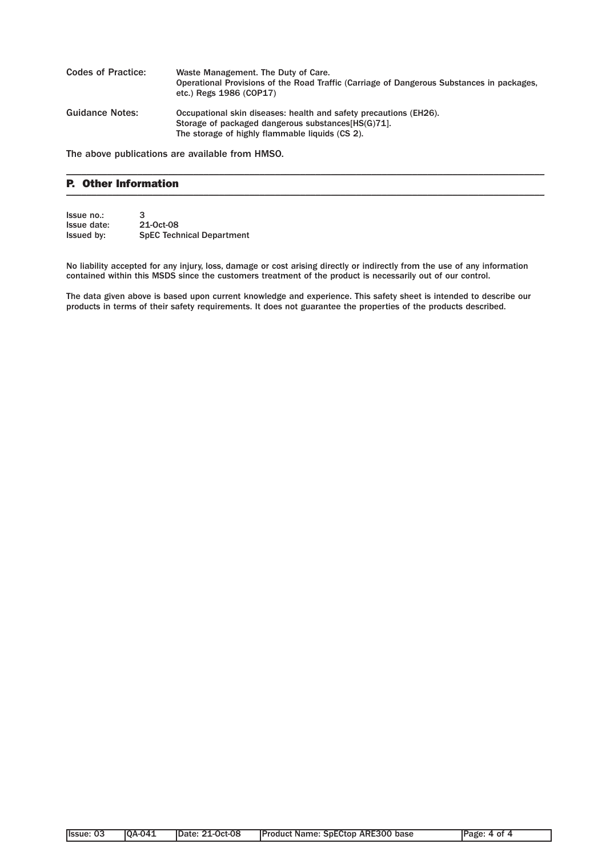| <b>Codes of Practice:</b> | Waste Management. The Duty of Care.<br>Operational Provisions of the Road Traffic (Carriage of Dangerous Substances in packages,<br>etc.) Regs 1986 (COP17)                 |
|---------------------------|-----------------------------------------------------------------------------------------------------------------------------------------------------------------------------|
| <b>Guidance Notes:</b>    | Occupational skin diseases: health and safety precautions (EH26).<br>Storage of packaged dangerous substances [HS(G) 71.<br>The storage of highly flammable liquids (CS 2). |

\_\_\_\_\_\_\_\_\_\_\_\_\_\_\_\_\_\_\_\_\_\_\_\_\_\_\_\_\_\_\_\_\_\_\_\_\_\_\_\_\_\_\_\_\_\_\_\_\_\_\_\_\_\_\_\_\_\_\_\_\_\_\_\_\_\_\_\_\_\_\_\_\_\_\_\_\_\_\_\_\_\_\_\_\_\_\_\_\_\_\_\_\_\_

The above publications are available from HMSO.

### P. Other Information  $\blacksquare$

| Issue no.:  | 3                                |
|-------------|----------------------------------|
| Issue date: | 21-0ct-08                        |
| Issued by:  | <b>SpEC Technical Department</b> |

No liability accepted for any injury, loss, damage or cost arising directly or indirectly from the use of any information contained within this MSDS since the customers treatment of the product is necessarily out of our control.

The data given above is based upon current knowledge and experience. This safety sheet is intended to describe our products in terms of their safety requirements. It does not guarantee the properties of the products described.

| llssue: 03 | <b>0A-041</b> | <b>IDate: 21-Oct-08</b> | <b>Product Name: SpECtop ARE300 base</b> | Page: 4 of 4 |
|------------|---------------|-------------------------|------------------------------------------|--------------|
|            |               |                         |                                          |              |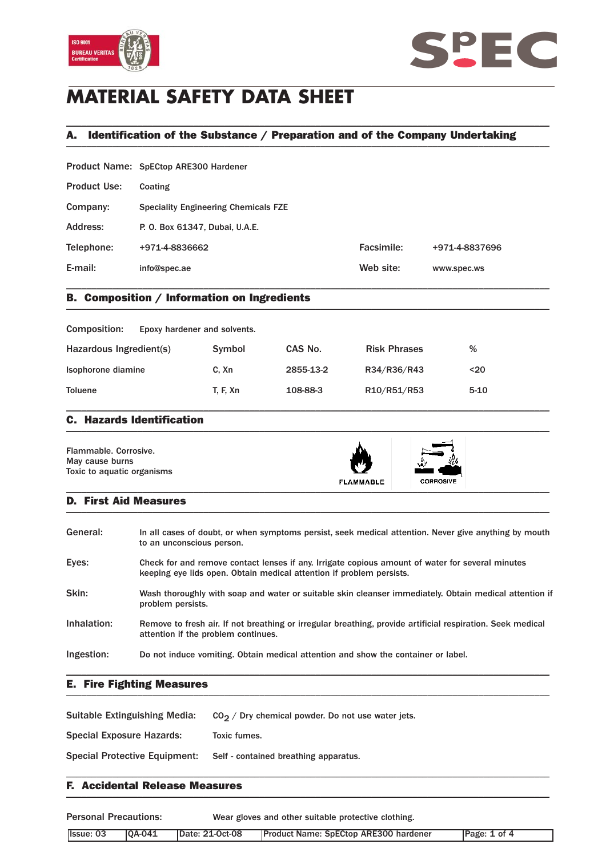



# **MATERIAL SAFETY DATA SHEET**

## A. Identification of the Substance / Preparation and of the Company Undertaking \_\_\_\_\_\_\_\_\_\_\_\_\_\_\_\_\_\_\_\_\_\_\_\_\_\_\_\_\_\_\_\_\_\_\_\_\_\_\_\_\_\_\_\_\_\_\_\_\_\_\_\_\_\_\_\_\_\_\_\_\_\_\_\_\_\_\_\_\_\_\_\_\_\_\_\_\_\_\_\_\_\_\_\_\_\_\_\_\_\_\_\_\_\_\_

\_\_\_\_\_\_\_\_\_\_\_\_\_\_\_\_\_\_\_\_\_\_\_\_\_\_\_\_\_\_\_\_\_\_\_\_\_\_\_\_\_\_\_\_\_\_\_\_\_\_\_\_\_\_\_\_\_\_\_\_\_\_\_\_\_\_\_\_\_\_\_\_\_\_\_\_\_\_\_\_\_\_\_\_\_\_\_\_\_\_\_\_\_\_\_

|                     | Product Name: SpECtop ARE300 Hardener       |            |                |
|---------------------|---------------------------------------------|------------|----------------|
| <b>Product Use:</b> | Coating                                     |            |                |
| Company:            | <b>Speciality Engineering Chemicals FZE</b> |            |                |
| Address:            | P. O. Box 61347, Dubai, U.A.E.              |            |                |
| Telephone:          | +971-4-8836662                              | Facsimile: | +971-4-8837696 |
| E-mail:             | info@spec.ae                                | Web site:  | www.spec.ws    |
|                     |                                             |            |                |

## B. Composition / Information on Ingredients \_\_\_\_\_\_\_\_\_\_\_\_\_\_\_\_\_\_\_\_\_\_\_\_\_\_\_\_\_\_\_\_\_\_\_\_\_\_\_\_\_\_\_\_\_\_\_\_\_\_\_\_\_\_\_\_\_\_\_\_\_\_\_\_\_\_\_\_\_\_\_\_\_\_\_\_\_\_\_\_\_\_\_\_\_\_\_\_\_\_\_\_\_\_\_

| Composition:<br>Epoxy hardener and solvents. |                 |           |                     |          |
|----------------------------------------------|-----------------|-----------|---------------------|----------|
| Hazardous Ingredient(s)                      | Symbol          | CAS No.   | <b>Risk Phrases</b> | %        |
| Isophorone diamine                           | C. Xn           | 2855-13-2 | R34/R36/R43         | $20$     |
| <b>Toluene</b>                               | <b>T. F. Xn</b> | 108-88-3  | R10/R51/R53         | $5 - 10$ |

### C. Hazards Identification  $\blacksquare$

| Flammable, Corrosive.<br>May cause burns<br>Toxic to aquatic organisms | <b>FLAMMABLE</b> | N 7<br><b>CORROSIVE</b> |  |
|------------------------------------------------------------------------|------------------|-------------------------|--|
|------------------------------------------------------------------------|------------------|-------------------------|--|

### D. First Aid Measures  $\blacksquare$

| General:    | In all cases of doubt, or when symptoms persist, seek medical attention. Never give anything by mouth<br>to an unconscious person.                                       |
|-------------|--------------------------------------------------------------------------------------------------------------------------------------------------------------------------|
| Eyes:       | Check for and remove contact lenses if any. Irrigate copious amount of water for several minutes<br>keeping eye lids open. Obtain medical attention if problem persists. |
| Skin:       | Wash thoroughly with soap and water or suitable skin cleanser immediately. Obtain medical attention if<br>problem persists.                                              |
| Inhalation: | Remove to fresh air. If not breathing or irregular breathing, provide artificial respiration. Seek medical<br>attention if the problem continues.                        |
| Ingestion:  | Do not induce vomiting. Obtain medical attention and show the container or label.                                                                                        |

### E. Fire Fighting Measures \_\_\_\_\_\_\_\_\_\_\_\_\_\_\_\_\_\_\_\_\_\_\_\_\_\_\_\_\_\_\_\_\_\_\_\_\_\_\_\_\_\_\_\_\_\_\_\_\_\_\_\_\_\_\_\_\_\_\_\_\_\_\_\_\_\_\_\_\_\_\_\_\_\_\_\_\_\_\_\_\_\_\_\_\_\_\_\_\_\_\_\_\_\_\_

| Suitable Extinguishing Media:        | $CO2$ / Dry chemical powder. Do not use water jets. |
|--------------------------------------|-----------------------------------------------------|
| Special Exposure Hazards:            | Toxic fumes.                                        |
| <b>Special Protective Equipment:</b> | Self - contained breathing apparatus.               |
|                                      |                                                     |

### F. Accidental Release Measures  $\blacksquare$

Personal Precautions: Wear gloves and other suitable protective clothing. Issue: 03 QA-041 Date: 21-Oct-08 Product Name: SpECtop ARE300 hardener Page: 1 of 4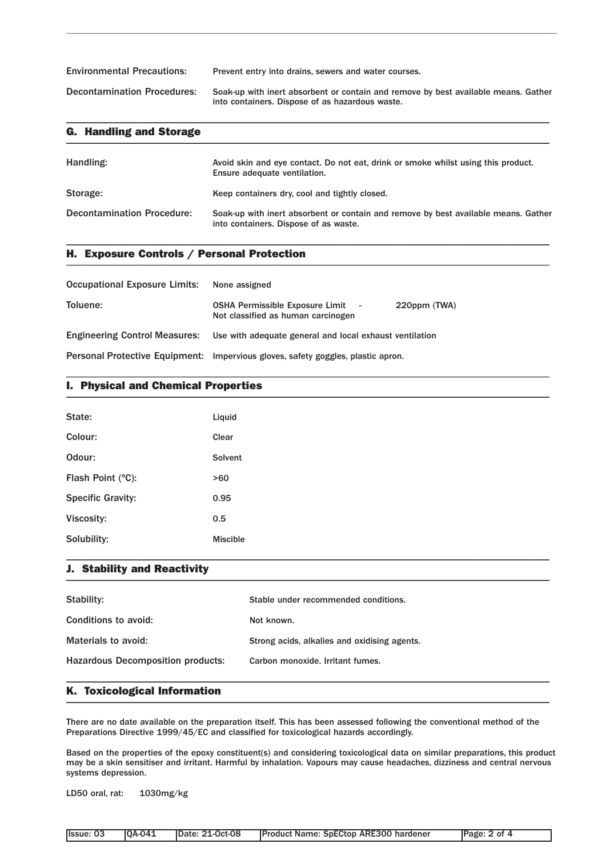| <b>Environmental Precautions:</b>  | Prevent entry into drains, sewers and water courses.                                                                                  |
|------------------------------------|---------------------------------------------------------------------------------------------------------------------------------------|
| <b>Decontamination Procedures:</b> | Soak-up with inert absorbent or contain and remove by best available means. Gather<br>into containers. Dispose of as hazardous waste. |

\_\_\_\_\_\_\_\_\_\_\_\_\_\_\_\_\_\_\_\_\_\_\_\_\_\_\_\_\_\_\_\_\_\_\_\_\_\_\_\_\_\_\_\_\_\_\_\_\_\_\_\_\_\_\_\_\_\_\_\_\_\_\_\_\_\_\_\_\_\_\_\_\_\_\_\_\_\_\_\_\_\_\_\_\_\_\_\_\_\_\_\_\_\_\_

| <b>G. Handling and Storage</b>    |                                                                                                                             |
|-----------------------------------|-----------------------------------------------------------------------------------------------------------------------------|
| Handling:                         | Avoid skin and eye contact. Do not eat, drink or smoke whilst using this product.<br>Ensure adequate ventilation.           |
| Storage:                          | Keep containers dry, cool and tightly closed.                                                                               |
| <b>Decontamination Procedure:</b> | Soak-up with inert absorbent or contain and remove by best available means. Gather<br>into containers. Dispose of as waste. |

\_\_\_\_\_\_\_\_\_\_\_\_\_\_\_\_\_\_\_\_\_\_\_\_\_\_\_\_\_\_\_\_\_\_\_\_\_\_\_\_\_\_\_\_\_\_\_\_\_\_\_\_\_\_\_\_\_\_\_\_\_\_\_\_\_\_\_\_\_\_\_\_\_\_\_\_\_\_\_\_\_\_\_\_\_\_\_\_\_\_\_\_\_\_\_

## H. Exposure Controls / Personal Protection \_\_\_\_\_\_\_\_\_\_\_\_\_\_\_\_\_\_\_\_\_\_\_\_\_\_\_\_\_\_\_\_\_\_\_\_\_\_\_\_\_\_\_\_\_\_\_\_\_\_\_\_\_\_\_\_\_\_\_\_\_\_\_\_\_\_\_\_\_\_\_\_\_\_\_\_\_\_\_\_\_\_\_\_\_\_\_\_\_\_\_\_\_\_\_

| Occupational Exposure Limits: None assigned |                                                                                                |
|---------------------------------------------|------------------------------------------------------------------------------------------------|
| Toluene:                                    | <b>OSHA Permissible Exposure Limit</b> -<br>220ppm (TWA)<br>Not classified as human carcinogen |
|                                             | Engineering Control Measures: Use with adequate general and local exhaust ventilation          |
|                                             | Personal Protective Equipment: Impervious gloves, safety goggles, plastic apron.               |

## I. Physical and Chemical Properties \_\_\_\_\_\_\_\_\_\_\_\_\_\_\_\_\_\_\_\_\_\_\_\_\_\_\_\_\_\_\_\_\_\_\_\_\_\_\_\_\_\_\_\_\_\_\_\_\_\_\_\_\_\_\_\_\_\_\_\_\_\_\_\_\_\_\_\_\_\_\_\_\_\_\_\_\_\_\_\_\_\_\_\_\_\_\_\_\_\_\_\_\_\_\_

| State:                   | Liquid          |
|--------------------------|-----------------|
| Colour:                  | Clear           |
| Odour:                   | Solvent         |
| Flash Point (°C):        | >60             |
| <b>Specific Gravity:</b> | 0.95            |
| Viscosity:               | 0.5             |
| Solubility:              | <b>Miscible</b> |

\_\_\_\_\_\_\_\_\_\_\_\_\_\_\_\_\_\_\_\_\_\_\_\_\_\_\_\_\_\_\_\_\_\_\_\_\_\_\_\_\_\_\_\_\_\_\_\_\_\_\_\_\_\_\_\_\_\_\_\_\_\_\_\_\_\_\_\_\_\_\_\_\_\_\_\_\_\_\_\_\_\_\_\_\_\_\_\_\_\_\_\_\_\_\_

## J. Stability and Reactivity \_\_\_\_\_\_\_\_\_\_\_\_\_\_\_\_\_\_\_\_\_\_\_\_\_\_\_\_\_\_\_\_\_\_\_\_\_\_\_\_\_\_\_\_\_\_\_\_\_\_\_\_\_\_\_\_\_\_\_\_\_\_\_\_\_\_\_\_\_\_\_\_\_\_\_\_\_\_\_\_\_\_\_\_\_\_\_\_\_\_\_\_\_\_\_

| Stability:                               | Stable under recommended conditions.         |
|------------------------------------------|----------------------------------------------|
| Conditions to avoid:                     | Not known.                                   |
| Materials to avoid:                      | Strong acids, alkalies and oxidising agents. |
| <b>Hazardous Decomposition products:</b> | Carbon monoxide, Irritant fumes.             |
|                                          |                                              |

\_\_\_\_\_\_\_\_\_\_\_\_\_\_\_\_\_\_\_\_\_\_\_\_\_\_\_\_\_\_\_\_\_\_\_\_\_\_\_\_\_\_\_\_\_\_\_\_\_\_\_\_\_\_\_\_\_\_\_\_\_\_\_\_\_\_\_\_\_\_\_\_\_\_\_\_\_\_\_\_\_\_\_\_\_\_\_\_\_\_\_\_\_\_\_

### K. Toxicological Information \_\_\_\_\_\_\_\_\_\_\_\_\_\_\_\_\_\_\_\_\_\_\_\_\_\_\_\_\_\_\_\_\_\_\_\_\_\_\_\_\_\_\_\_\_\_\_\_\_\_\_\_\_\_\_\_\_\_\_\_\_\_\_\_\_\_\_\_\_\_\_\_\_\_\_\_\_\_\_\_\_\_\_\_\_\_\_\_\_\_\_\_\_\_\_

There are no date available on the preparation itself. This has been assessed following the conventional method of the Preparations Directive 1999/45/EC and classified for toxicological hazards accordingly.

Based on the properties of the epoxy constituent(s) and considering toxicological data on similar preparations, this product may be a skin sensitiser and irritant. Harmful by inhalation. Vapours may cause headaches, dizziness and central nervous systems depression.

LD50 oral, rat: 1030mg/kg

| Issue: 03 | <b>10A-041</b> | Date: 21-Oct-08 | Product Name: SpECtop ARE300 hardener | Page: 2 of 4 |
|-----------|----------------|-----------------|---------------------------------------|--------------|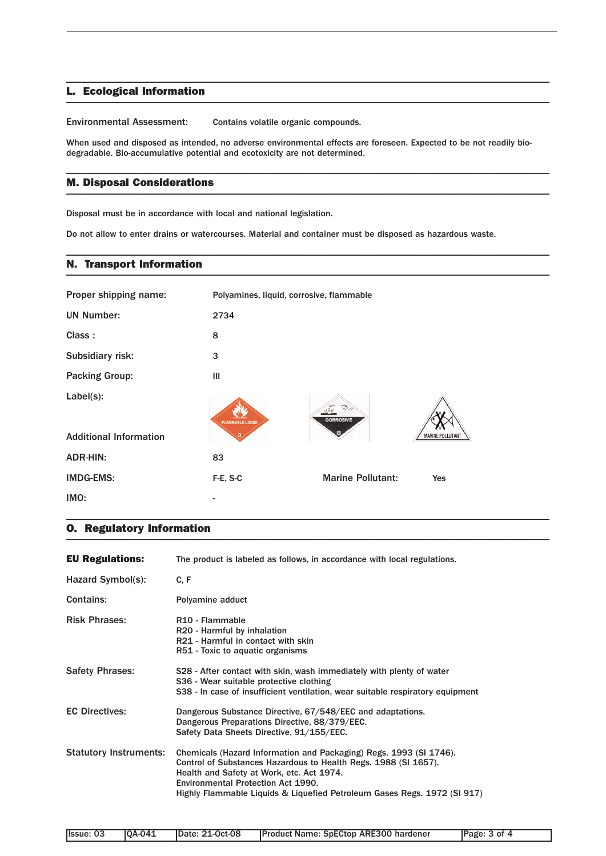### L. Ecological Information \_\_\_\_\_\_\_\_\_\_\_\_\_\_\_\_\_\_\_\_\_\_\_\_\_\_\_\_\_\_\_\_\_\_\_\_\_\_\_\_\_\_\_\_\_\_\_\_\_\_\_\_\_\_\_\_\_\_\_\_\_\_\_\_\_\_\_\_\_\_\_\_\_\_\_\_\_\_\_\_\_\_\_\_\_\_\_\_\_\_\_\_\_\_\_

Environmental Assessment: Contains volatile organic compounds.

When used and disposed as intended, no adverse environmental effects are foreseen. Expected to be not readily biodegradable. Bio-accumulative potential and ecotoxicity are not determined.

\_\_\_\_\_\_\_\_\_\_\_\_\_\_\_\_\_\_\_\_\_\_\_\_\_\_\_\_\_\_\_\_\_\_\_\_\_\_\_\_\_\_\_\_\_\_\_\_\_\_\_\_\_\_\_\_\_\_\_\_\_\_\_\_\_\_\_\_\_\_\_\_\_\_\_\_\_\_\_\_\_\_\_\_\_\_\_\_\_\_\_\_\_\_\_

\_\_\_\_\_\_\_\_\_\_\_\_\_\_\_\_\_\_\_\_\_\_\_\_\_\_\_\_\_\_\_\_\_\_\_\_\_\_\_\_\_\_\_\_\_\_\_\_\_\_\_\_\_\_\_\_\_\_\_\_\_\_\_\_\_\_\_\_\_\_\_\_\_\_\_\_\_\_\_\_\_\_\_\_\_\_\_\_\_\_\_\_\_\_\_

\_\_\_\_\_\_\_\_\_\_\_\_\_\_\_\_\_\_\_\_\_\_\_\_\_\_\_\_\_\_\_\_\_\_\_\_\_\_\_\_\_\_\_\_\_\_\_\_\_\_\_\_\_\_\_\_\_\_\_\_\_\_\_\_\_\_\_\_\_\_\_\_\_\_\_\_\_\_\_\_\_\_\_\_\_\_\_\_\_\_\_\_\_\_\_

### M. Disposal Considerations  $\blacksquare$

Disposal must be in accordance with local and national legislation.

Do not allow to enter drains or watercourses. Material and container must be disposed as hazardous waste.

### N. Transport Information \_\_\_\_\_\_\_\_\_\_\_\_\_\_\_\_\_\_\_\_\_\_\_\_\_\_\_\_\_\_\_\_\_\_\_\_\_\_\_\_\_\_\_\_\_\_\_\_\_\_\_\_\_\_\_\_\_\_\_\_\_\_\_\_\_\_\_\_\_\_\_\_\_\_\_\_\_\_\_\_\_\_\_\_\_\_\_\_\_\_\_\_\_\_\_

| Proper shipping name:         | Polyamines, liquid, corrosive, flammable |                          |                         |
|-------------------------------|------------------------------------------|--------------------------|-------------------------|
| <b>UN Number:</b>             | 2734                                     |                          |                         |
| Class:                        | 8                                        |                          |                         |
| Subsidiary risk:              | 3                                        |                          |                         |
| <b>Packing Group:</b>         | Ш                                        |                          |                         |
| Label(s):                     | <b>FLAMMABLE LIQUID</b>                  | <b>CORROSIVE</b>         |                         |
| <b>Additional Information</b> |                                          |                          | <b>MARINE POLLUTANT</b> |
| <b>ADR-HIN:</b>               | 83                                       |                          |                         |
| <b>IMDG-EMS:</b>              | F-E, S-C                                 | <b>Marine Pollutant:</b> | <b>Yes</b>              |
| IMO:                          |                                          |                          |                         |

\_\_\_\_\_\_\_\_\_\_\_\_\_\_\_\_\_\_\_\_\_\_\_\_\_\_\_\_\_\_\_\_\_\_\_\_\_\_\_\_\_\_\_\_\_\_\_\_\_\_\_\_\_\_\_\_\_\_\_\_\_\_\_\_\_\_\_\_\_\_\_\_\_\_\_\_\_\_\_\_\_\_\_\_\_\_\_\_\_\_\_\_\_\_\_

## O. Regulatory Information \_\_\_\_\_\_\_\_\_\_\_\_\_\_\_\_\_\_\_\_\_\_\_\_\_\_\_\_\_\_\_\_\_\_\_\_\_\_\_\_\_\_\_\_\_\_\_\_\_\_\_\_\_\_\_\_\_\_\_\_\_\_\_\_\_\_\_\_\_\_\_\_\_\_\_\_\_\_\_\_\_\_\_\_\_\_\_\_\_\_\_\_\_\_\_

| <b>EU Regulations:</b>        | The product is labeled as follows, in accordance with local regulations.                                                                                                                                                                                                                             |
|-------------------------------|------------------------------------------------------------------------------------------------------------------------------------------------------------------------------------------------------------------------------------------------------------------------------------------------------|
| Hazard Symbol(s):             | C, F                                                                                                                                                                                                                                                                                                 |
| <b>Contains:</b>              | Polyamine adduct                                                                                                                                                                                                                                                                                     |
| <b>Risk Phrases:</b>          | R <sub>10</sub> - Flammable<br>R20 - Harmful by inhalation<br>R21 - Harmful in contact with skin<br>R51 - Toxic to aquatic organisms                                                                                                                                                                 |
| <b>Safety Phrases:</b>        | S28 - After contact with skin, wash immediately with plenty of water<br>S36 - Wear suitable protective clothing<br>S38 - In case of insufficient ventilation, wear suitable respiratory equipment                                                                                                    |
| <b>EC Directives:</b>         | Dangerous Substance Directive, 67/548/EEC and adaptations.<br>Dangerous Preparations Directive, 88/379/EEC.<br>Safety Data Sheets Directive, 91/155/EEC.                                                                                                                                             |
| <b>Statutory Instruments:</b> | Chemicals (Hazard Information and Packaging) Regs. 1993 (SI 1746).<br>Control of Substances Hazardous to Health Regs. 1988 (SI 1657).<br>Health and Safety at Work, etc. Act 1974.<br>Environmental Protection Act 1990.<br>Highly Flammable Liquids & Liquefied Petroleum Gases Regs. 1972 (SI 917) |

| <b>Issue: 03</b><br>IOA-041<br><b>IDate: 21-Oct-08</b> | <b>Product Name: SpECtop ARE300 hardener</b> | Page: 3 of 4 |
|--------------------------------------------------------|----------------------------------------------|--------------|
|--------------------------------------------------------|----------------------------------------------|--------------|